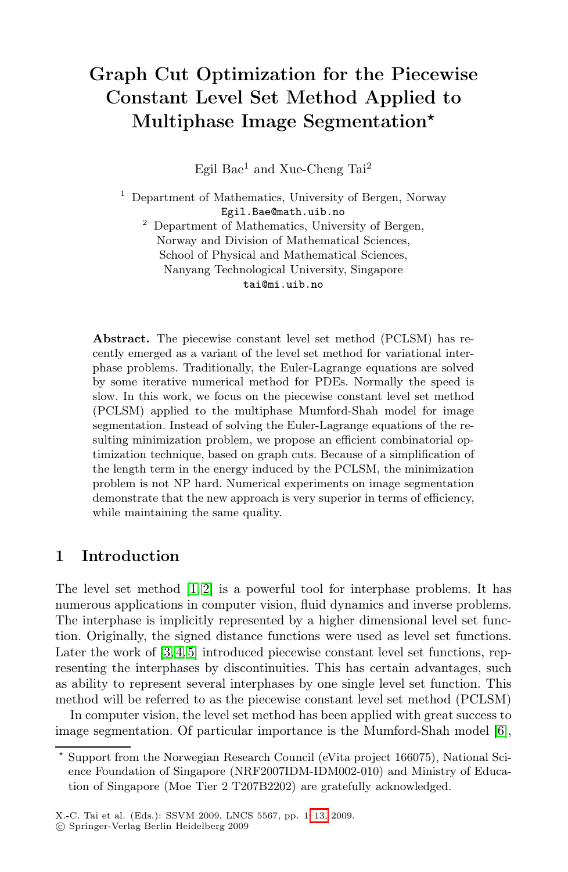# Graph Cut Optimization for the Piecewise Constant Level Set Method Applied to Multiphase Image Segmentation*-*

Egil Bae<sup>1</sup> and Xue-Cheng Tai<sup>2</sup>

<sup>1</sup> Department of Mathematics, University of Bergen, Norway Egil.Bae@math.uib.no <sup>2</sup> Department of Mathematics, University of Bergen, Norway and Division of Mathematical Sciences, School of Physical and Mathematical Sciences,

Nanyang Technological University, Singapore

Abstract. The piecewise constant level set method (PCLSM) has recently emerged as a variant of the level set method for variational interphase problems. Traditionally, the Euler-Lagrange equations are solved by some iterative numerical method for PDEs. Normally the speed is slow. In this work, we focus on the piecewise constant level set method (PCLSM) applied to the multiphase Mumford-Shah model for image segmentation. Instead of solving the Euler-Lagrange equations of the resulting minimization problem, we propose an efficient combinatorial optimization technique, based on graph cuts. Because of a simplification of the length term in the energy induced by the PCLSM, the minimization problem is not NP hard. Numerical experiments on image segmentation demonstrate that the new approach is very superior in terms of efficiency, while maintaining the same quality.

# 1 Introduction

The level set method [\[1,](#page-11-0) [2\]](#page-11-1) is a powerful tool for interphase problems. It has numerous applications in computer vision, fluid dynamics and inverse problems. The interphase is implicitly represented by a higher dimensional level set function. Originally, the signed distance functions were used as level set functions. Later the work of  $[3, 4, 5]$  $[3, 4, 5]$  $[3, 4, 5]$  introduced piecewise constant level set functions, representing the interphases by discontinuities. This has certain advantages, such as ability to represent several interphases by one single level set function. This method will be referred to as the piecewise constant level set method (PCLSM)

In computer vision, the level set method has been applied with great success to image segmentation. Of particular importance is the Mumford-Shah model [\[6\]](#page-11-5),

<sup>-</sup> Support from the Norwegian Research Council (eVita project 166075), National Science Foundation of Singapore (NRF2007IDM-IDM002-010) and Ministry of Education of Singapore (Moe Tier 2 T207B2202) are gratefully acknowledged.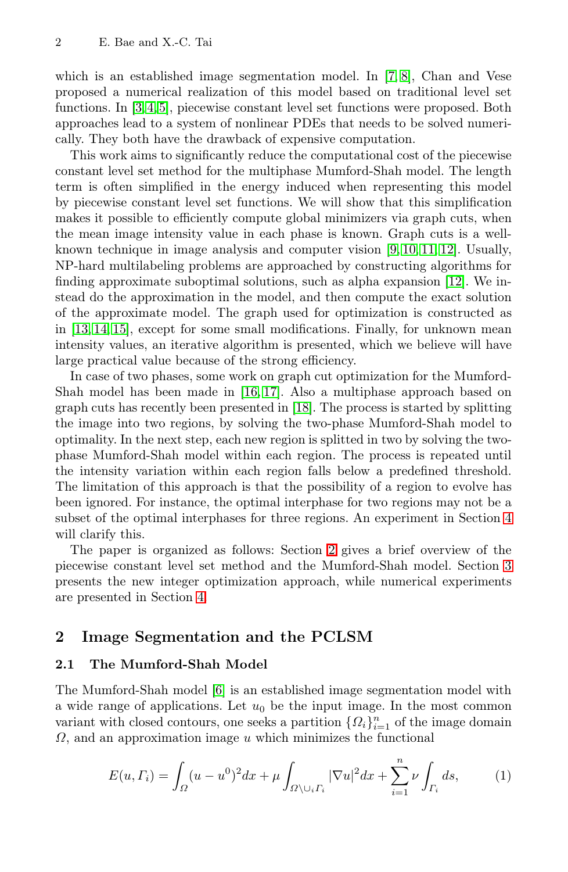which is an established image segmentation model. In [\[7,](#page-11-6) [8\]](#page-11-7), Chan and Vese proposed a numerical realization of this model based on traditional level set functions. In [\[3,](#page-11-2) [4,](#page-11-3) [5\]](#page-11-4), piecewise constant level set functions were proposed. Both approaches lead to a system of nonlinear PDEs that needs to be solved numerically. They both have the drawback of expensive computation.

This work aims to significantly reduce the computational cost of the piecewise constant level set method for the multiphase Mumford-Shah model. The length term is often simplified in the energy induced when representing this model by piecewise constant level set functions. We will show that this simplification makes it possible to efficiently compute global minimizers via graph cuts, when the mean image intensity value in each phase is known. Graph cuts is a wellknown technique in image analysis and computer vision [\[9,](#page-11-8) [10,](#page-11-9) [11,](#page-11-10) [12\]](#page-11-11). Usually, NP-hard multilabeling problems are approached by constructing algorithms for finding approximate suboptimal solutions, such as alpha expansion [\[12\]](#page-11-11). We instead do the approximation in the model, and then compute the exact solution of the approximate model. The graph used for optimization is constructed as in [\[13,](#page-11-12) [14,](#page-11-13) [15\]](#page-11-14), except for some small modifications. Finally, for unknown mean intensity values, an iterative algorithm is presented, which we believe will have large practical value because of the strong efficiency.

In case of two phases, some work on graph cut optimization for the Mumford-Shah model has been made in [\[16,](#page-12-1) [17\]](#page-12-2). Also a multiphase approach based on graph cuts has recently been presented in [\[18\]](#page-12-3). The process is started by splitting the image into two regions, by solving the two-phase Mumford-Shah model to optimality. In the next step, each new region is splitted in two by solving the twophase Mumford-Shah model within each region. The process is repeated until the intensity variation within each region falls below a predefined threshold. The limitation of this approach is that the possibility of a region to evolve has been ignored. For instance, the optimal interphase for two regions may not be a subset of the optimal interphases for three regions. An experiment in Section [4](#page-7-0) will clarify this.

The paper is organized as follows: Section [2](#page-1-0) gives a brief overview of the piecewise constant level set method and the Mumford-Shah model. Section [3](#page-3-0) presents the new integer optimization approach, while numerical experiments are presented in Section [4.](#page-7-0)

## <span id="page-1-0"></span>2 Image Segmentation and the PCLSM

### 2.1 The Mumford-Shah Model

The Mumford-Shah model [\[6\]](#page-11-5) is an established image segmentation model with a wide range of applications. Let  $u_0$  be the input image. In the most common variant with closed contours, one seeks a partition  $\{\Omega_i\}_{i=1}^n$  of the image domain  $\Omega$ , and an approximation image u which minimizes the functional

$$
E(u,\Gamma_i) = \int_{\Omega} (u - u^0)^2 dx + \mu \int_{\Omega \setminus \bigcup_i \Gamma_i} |\nabla u|^2 dx + \sum_{i=1}^n \nu \int_{\Gamma_i} ds, \tag{1}
$$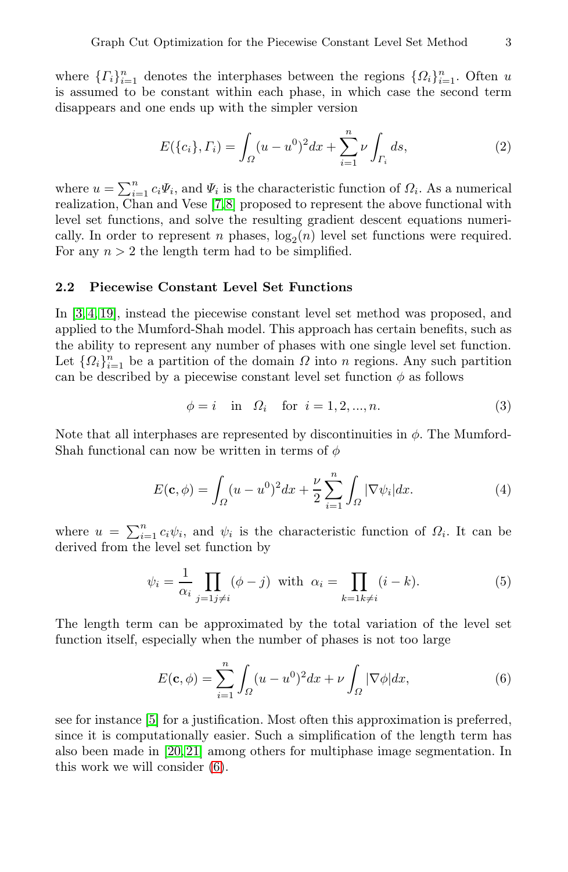where  $\{T_i\}_{i=1}^n$  denotes the interphases between the regions  $\{\Omega_i\}_{i=1}^n$ . Often u is assumed to be constant within each phase, in which case the second term disappears and one ends up with the simpler version

$$
E(\{c_i\}, \Gamma_i) = \int_{\Omega} (u - u^0)^2 dx + \sum_{i=1}^n \nu \int_{\Gamma_i} ds,\tag{2}
$$

where  $u = \sum_{i=1}^{n} c_i \Psi_i$ , and  $\Psi_i$  is the characteristic function of  $\Omega_i$ . As a numerical realization Chan and Vese [7.8] proposed to represent the above functional with realization, Chan and Vese [\[7,](#page-11-6)[8\]](#page-11-7) proposed to represent the above functional with level set functions, and solve the resulting gradient descent equations numerically. In order to represent n phases,  $log_2(n)$  level set functions were required. For any  $n > 2$  the length term had to be simplified.

### 2.2 Piecewise Constant Level Set Functions

In [\[3,](#page-11-2) [4,](#page-11-3) [19\]](#page-12-4), instead the piecewise constant level set method was proposed, and applied to the Mumford-Shah model. This approach has certain benefits, such as the ability to represent any number of phases with one single level set function. Let  $\{\Omega_i\}_{i=1}^n$  be a partition of the domain  $\Omega$  into n regions. Any such partition can be described by a piecewise constant level set function  $\phi$  as follows

<span id="page-2-1"></span>
$$
\phi = i
$$
 in  $\Omega_i$  for  $i = 1, 2, ..., n$ . (3)

Note that all interphases are represented by discontinuities in  $\phi$ . The Mumford-Shah functional can now be written in terms of  $\phi$ 

$$
E(\mathbf{c}, \phi) = \int_{\Omega} (u - u^0)^2 dx + \frac{\nu}{2} \sum_{i=1}^n \int_{\Omega} |\nabla \psi_i| dx.
$$
 (4)

where  $u = \sum_{i=1}^{n} c_i \psi_i$ , and  $\psi_i$  is the characteristic function of  $\Omega_i$ . It can be derived from the level set function by derived from the level set function by

$$
\psi_i = \frac{1}{\alpha_i} \prod_{j=1 \neq i} (\phi - j) \text{ with } \alpha_i = \prod_{k=1 \neq i} (i - k). \tag{5}
$$

The length term can be approximated by the total variation of the level set function itself, especially when the number of phases is not too large

<span id="page-2-0"></span>
$$
E(\mathbf{c}, \phi) = \sum_{i=1}^{n} \int_{\Omega} (u - u^{0})^{2} dx + \nu \int_{\Omega} |\nabla \phi| dx, \tag{6}
$$

see for instance [\[5\]](#page-11-4) for a justification. Most often this approximation is preferred, since it is computationally easier. Such a simplification of the length term has also been made in [\[20,](#page-12-5) [21\]](#page-12-6) among others for multiphase image segmentation. In this work we will consider [\(6\)](#page-2-0).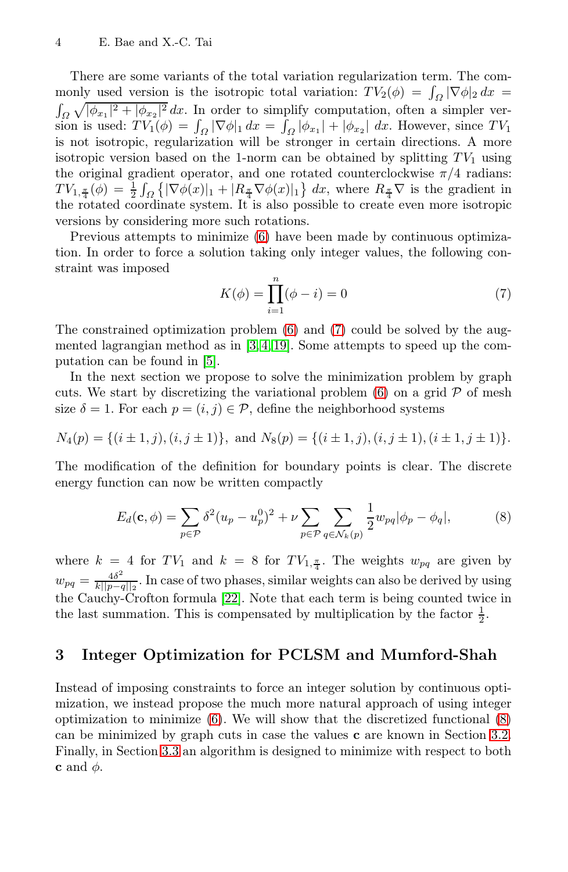There are some variants of the total variation regularization term. The commonly used version is the isotropic total variation:  $TV_2(\phi) = \int_{\Omega} |\nabla \phi|_2 dx =$ monly used version is the isotropic total variation:  $TV_2(\phi) = \int_{\Omega} |\nabla \phi|_2 dx =$ <br>  $\int_{\Omega} \sqrt{|\phi_{x_1}|^2 + |\phi_{x_2}|^2} dx$ . In order to simplify computation, often a simpler ver-<br>
sion is used:  $TV_{\alpha}(\phi) = \int_{\Omega} |\nabla \phi|_2 dx = \int_{\Omega} |\phi|$ sion is used:  $TV_1(\phi) = \int_{\Omega} |\nabla \phi|_1 dx = \int_{\Omega} |\phi_{x_1}| + |\phi_{x_2}| dx$ . However, since TV<sub>1</sub> is not isotropic regularization will be stronger in certain directions. A more is not isotropic, regularization will be stronger in certain directions. A more isotropic version based on the 1-norm can be obtained by splitting  $TV_1$  using the original gradient operator, and one rotated counterclockwise  $\pi/4$  radians:  $TV_{1,\frac{\pi}{4}}(\phi) = \frac{1}{2} \int_{\Omega} \left\{ |\nabla \phi(x)|_1 + |R_{\frac{\pi}{4}} \nabla \phi(x)|_1 \right\} dx$ , where  $R_{\frac{\pi}{4}} \nabla$  is the gradient in the rotated coordinate system. It is also possible to create even more isotropic the rotated coordinate system. It is also possible to create even more isotropic versions by considering more such rotations.

Previous attempts to minimize [\(6\)](#page-2-0) have been made by continuous optimization. In order to force a solution taking only integer values, the following constraint was imposed

<span id="page-3-1"></span>
$$
K(\phi) = \prod_{i=1}^{n} (\phi - i) = 0
$$
 (7)

The constrained optimization problem [\(6\)](#page-2-0) and [\(7\)](#page-3-1) could be solved by the augmented lagrangian method as in  $[3, 4, 19]$  $[3, 4, 19]$  $[3, 4, 19]$ . Some attempts to speed up the computation can be found in [\[5\]](#page-11-4).

In the next section we propose to solve the minimization problem by graph cuts. We start by discretizing the variational problem  $(6)$  on a grid  $P$  of mesh size  $\delta = 1$ . For each  $p = (i, j) \in \mathcal{P}$ , define the neighborhood systems

$$
N_4(p) = \{(i \pm 1, j), (i, j \pm 1)\}, \text{ and } N_8(p) = \{(i \pm 1, j), (i, j \pm 1), (i \pm 1, j \pm 1)\}.
$$

The modification of the definition for boundary points is clear. The discrete energy function can now be written compactly

<span id="page-3-2"></span>
$$
E_d(\mathbf{c}, \phi) = \sum_{p \in \mathcal{P}} \delta^2 (u_p - u_p^0)^2 + \nu \sum_{p \in \mathcal{P}} \sum_{q \in \mathcal{N}_k(p)} \frac{1}{2} w_{pq} |\phi_p - \phi_q|,
$$
 (8)

where  $k = 4$  for  $TV_1$  and  $k = 8$  for  $TV_{1,\frac{\pi}{4}}$ . The weights  $w_{pq}$  are given by  $w_{pq} = \frac{4\delta^2}{k\|p-q\|_2}$ . In case of two phases, similar weights can also be derived by using the Couplan Capitan formula [99]. Note that sach term is being counted trues in the Cauchy-Crofton formula [\[22\]](#page-12-7). Note that each term is being counted twice in the last summation. This is compensated by multiplication by the factor  $\frac{1}{2}$ .

## <span id="page-3-0"></span>3 Integer Optimization for PCLSM and Mumford-Shah

Instead of imposing constraints to force an integer solution by continuous optimization, we instead propose the much more natural approach of using integer optimization to minimize  $(6)$ . We will show that the discretized functional  $(8)$ can be minimized by graph cuts in case the values c are known in Section [3.2.](#page-4-0) Finally, in Section [3.3](#page-7-1) an algorithm is designed to minimize with respect to both c and  $\phi$ .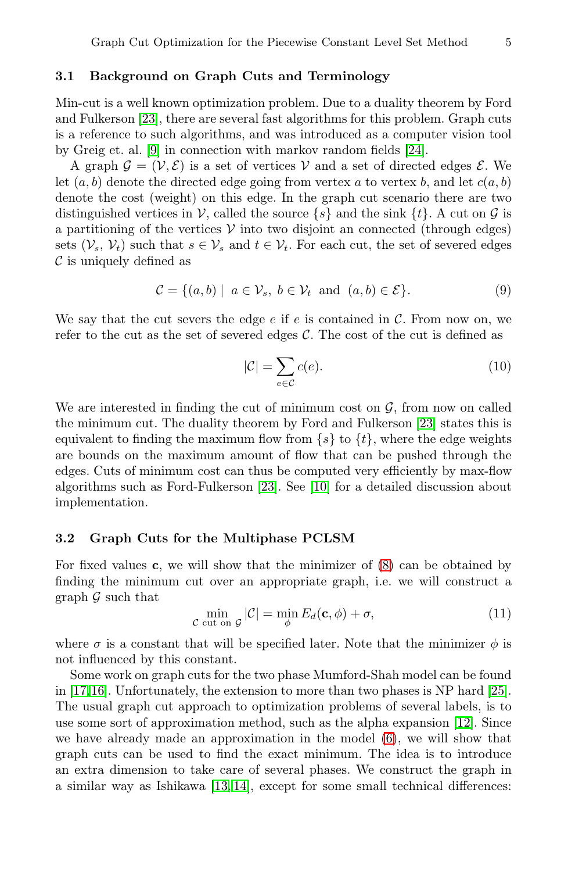### 3.1 Background on Graph Cuts and Terminology

Min-cut is a well known optimization problem. Due to a duality theorem by Ford and Fulkerson [\[23\]](#page-12-8), there are several fast algorithms for this problem. Graph cuts is a reference to such algorithms, and was introduced as a computer vision tool by Greig et. al. [\[9\]](#page-11-8) in connection with markov random fields [\[24\]](#page-12-9).

A graph  $\mathcal{G} = (\mathcal{V}, \mathcal{E})$  is a set of vertices V and a set of directed edges  $\mathcal{E}$ . We let  $(a, b)$  denote the directed edge going from vertex a to vertex b, and let  $c(a, b)$ denote the cost (weight) on this edge. In the graph cut scenario there are two distinguished vertices in V, called the source  $\{s\}$  and the sink  $\{t\}$ . A cut on G is a partitioning of the vertices  $V$  into two disjoint an connected (through edges) sets  $(\mathcal{V}_s, \mathcal{V}_t)$  such that  $s \in \mathcal{V}_s$  and  $t \in \mathcal{V}_t$ . For each cut, the set of severed edges  $\mathcal C$  is uniquely defined as

$$
\mathcal{C} = \{(a, b) \mid a \in \mathcal{V}_s, b \in \mathcal{V}_t \text{ and } (a, b) \in \mathcal{E}\}.
$$
 (9)

We say that the cut severs the edge  $e$  if  $e$  is contained in  $C$ . From now on, we refer to the cut as the set of severed edges  $C$ . The cost of the cut is defined as

$$
|\mathcal{C}| = \sum_{e \in \mathcal{C}} c(e). \tag{10}
$$

We are interested in finding the cut of minimum cost on  $\mathcal{G}$ , from now on called the minimum cut. The duality theorem by Ford and Fulkerson [\[23\]](#page-12-8) states this is equivalent to finding the maximum flow from  $\{s\}$  to  $\{t\}$ , where the edge weights are bounds on the maximum amount of flow that can be pushed through the edges. Cuts of minimum cost can thus be computed very efficiently by max-flow algorithms such as Ford-Fulkerson [\[23\]](#page-12-8). See [\[10\]](#page-11-9) for a detailed discussion about implementation.

#### <span id="page-4-0"></span>3.2 Graph Cuts for the Multiphase PCLSM

For fixed values c, we will show that the minimizer of [\(8\)](#page-3-2) can be obtained by finding the minimum cut over an appropriate graph, i.e. we will construct a graph  $\mathcal G$  such that

<span id="page-4-1"></span>
$$
\min_{\mathcal{C} \text{ cut on } \mathcal{G}} |\mathcal{C}| = \min_{\phi} E_d(\mathbf{c}, \phi) + \sigma,
$$
\n(11)

where  $\sigma$  is a constant that will be specified later. Note that the minimizer  $\phi$  is not influenced by this constant.

Some work on graph cuts for the two phase Mumford-Shah model can be found in [\[17,](#page-12-2)[16\]](#page-12-1). Unfortunately, the extension to more than two phases is NP hard [\[25\]](#page-12-10). The usual graph cut approach to optimization problems of several labels, is to use some sort of approximation method, such as the alpha expansion [\[12\]](#page-11-11). Since we have already made an approximation in the model [\(6\)](#page-2-0), we will show that graph cuts can be used to find the exact minimum. The idea is to introduce an extra dimension to take care of several phases. We construct the graph in a similar way as Ishikawa [\[13,](#page-11-12) [14\]](#page-11-13), except for some small technical differences: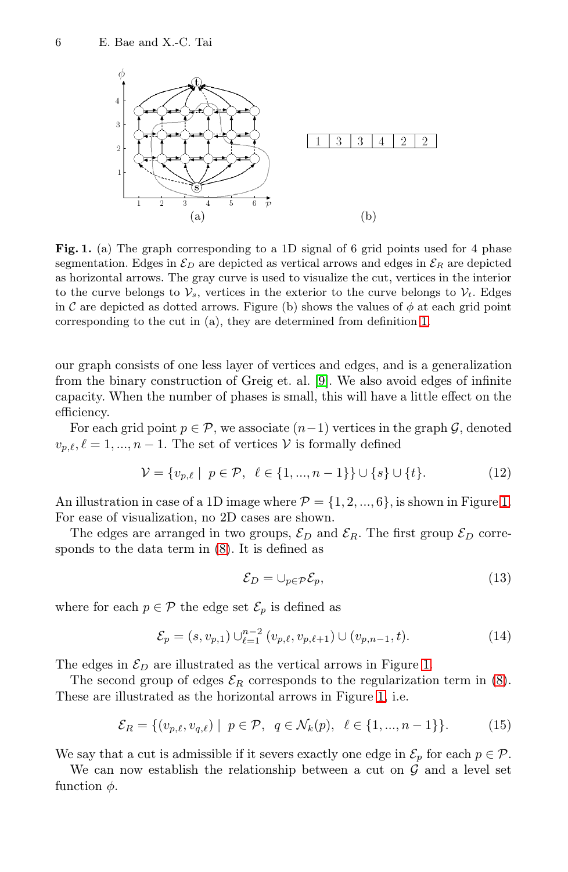<span id="page-5-1"></span>

Fig. 1. (a) The graph corresponding to a 1D signal of 6 grid points used for 4 phase segmentation. Edges in  $\mathcal{E}_D$  are depicted as vertical arrows and edges in  $\mathcal{E}_R$  are depicted as horizontal arrows. The gray curve is used to visualize the cut, vertices in the interior to the curve belongs to  $\mathcal{V}_s$ , vertices in the exterior to the curve belongs to  $\mathcal{V}_t$ . Edges in C are depicted as dotted arrows. Figure (b) shows the values of  $\phi$  at each grid point corresponding to the cut in (a), they are determined from definition [1.](#page-5-0)

our graph consists of one less layer of vertices and edges, and is a generalization from the binary construction of Greig et. al. [\[9\]](#page-11-8). We also avoid edges of infinite capacity. When the number of phases is small, this will have a little effect on the efficiency.

For each grid point  $p \in \mathcal{P}$ , we associate  $(n-1)$  vertices in the graph  $\mathcal{G}$ , denoted  $v_{n,\ell}, \ell = 1, ..., n-1$ . The set of vertices V is formally defined

$$
\mathcal{V} = \{v_{p,\ell} \mid p \in \mathcal{P}, \ell \in \{1, ..., n-1\}\} \cup \{s\} \cup \{t\}.
$$
 (12)

An illustration in case of a 1D image where  $\mathcal{P} = \{1, 2, ..., 6\}$ , is shown in Figure [1.](#page-5-1) For ease of visualization, no 2D cases are shown.

The edges are arranged in two groups,  $\mathcal{E}_D$  and  $\mathcal{E}_R$ . The first group  $\mathcal{E}_D$  corresponds to the data term in [\(8\)](#page-3-2). It is defined as

$$
\mathcal{E}_D = \cup_{p \in \mathcal{P}} \mathcal{E}_p,\tag{13}
$$

where for each  $p \in \mathcal{P}$  the edge set  $\mathcal{E}_p$  is defined as

$$
\mathcal{E}_p = (s, v_{p,1}) \cup_{\ell=1}^{n-2} (v_{p,\ell}, v_{p,\ell+1}) \cup (v_{p,n-1}, t). \tag{14}
$$

The edges in  $\mathcal{E}_D$  are illustrated as the vertical arrows in Figure [1.](#page-5-1)

The second group of edges  $\mathcal{E}_R$  corresponds to the regularization term in [\(8\)](#page-3-2). These are illustrated as the horizontal arrows in Figure [1,](#page-5-1) i.e.

<span id="page-5-0"></span>
$$
\mathcal{E}_R = \{ (v_{p,\ell}, v_{q,\ell}) \mid p \in \mathcal{P}, q \in \mathcal{N}_k(p), \ell \in \{1, ..., n-1\} \}. \tag{15}
$$

We say that a cut is admissible if it severs exactly one edge in  $\mathcal{E}_p$  for each  $p \in \mathcal{P}$ .

We can now establish the relationship between a cut on  $\mathcal G$  and a level set function  $\phi$ .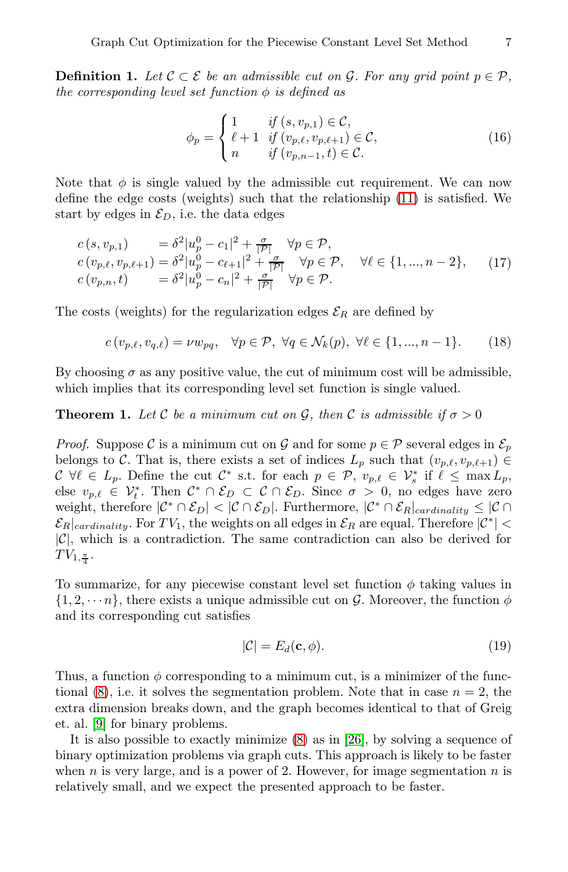**Definition 1.** *Let*  $\mathcal{C} \subset \mathcal{E}$  *be an admissible cut on*  $\mathcal{G}$ *. For any grid point*  $p \in \mathcal{P}$ *, the corresponding level set function*  $\phi$  *is defined as* 

$$
\phi_p = \begin{cases} 1 & \text{if } (s, v_{p,1}) \in \mathcal{C}, \\ \ell + 1 & \text{if } (v_{p,\ell}, v_{p,\ell+1}) \in \mathcal{C}, \\ n & \text{if } (v_{p,n-1}, t) \in \mathcal{C}. \end{cases}
$$
(16)

Note that  $\phi$  is single valued by the admissible cut requirement. We can now define the edge costs (weights) such that the relationship [\(11\)](#page-4-1) is satisfied. We start by edges in  $\mathcal{E}_D$ , i.e. the data edges

$$
c(s, v_{p,1}) = \delta^2 |u_p^0 - c_1|^2 + \frac{\sigma}{|\mathcal{P}|} \quad \forall p \in \mathcal{P},
$$
  
\n
$$
c(v_{p,\ell}, v_{p,\ell+1}) = \delta^2 |u_p^0 - c_{\ell+1}|^2 + \frac{\sigma}{|\mathcal{P}|} \quad \forall p \in \mathcal{P}, \quad \forall \ell \in \{1, ..., n-2\},
$$
  
\n
$$
c(v_{p,n}, t) = \delta^2 |u_p^0 - c_n|^2 + \frac{\sigma}{|\mathcal{P}|} \quad \forall p \in \mathcal{P}.
$$
\n(17)

The costs (weights) for the regularization edges  $\mathcal{E}_R$  are defined by

$$
c(v_{p,\ell}, v_{q,\ell}) = \nu w_{pq}, \quad \forall p \in \mathcal{P}, \ \forall q \in \mathcal{N}_k(p), \ \forall \ell \in \{1, ..., n-1\}.
$$
 (18)

By choosing  $\sigma$  as any positive value, the cut of minimum cost will be admissible, which implies that its corresponding level set function is single valued.

#### **Theorem 1.** Let C be a minimum cut on G, then C is admissible if  $\sigma > 0$

*Proof.* Suppose C is a minimum cut on G and for some  $p \in \mathcal{P}$  several edges in  $\mathcal{E}_p$ belongs to C. That is, there exists a set of indices  $L_p$  such that  $(v_{p,\ell}, v_{p,\ell+1}) \in$  $\mathcal{C} \ \forall \ell \in L_p.$  Define the cut  $\mathcal{C}^*$  s.t. for each  $p \in \mathcal{P}, v_{p,\ell} \in \mathcal{V}_s^*$  if  $\ell \leq \max L_p$ ,<br>else  $v_{\ell} \in \mathcal{V}^*$ . Then  $\mathcal{C}^* \cap \mathcal{E}_p \subset \mathcal{C} \cap \mathcal{E}_p$ . Since  $\sigma > 0$ , no edges have zero else  $v_{p,\ell} \in \mathcal{V}_t^*$ . Then  $\mathcal{C}^* \cap \mathcal{E}_D \subset \mathcal{C} \cap \mathcal{E}_D$ . Since  $\sigma > 0$ , no edges have zero weight, therefore  $|\mathcal{C}^* \cap \mathcal{E}_D| < |\mathcal{C} \cap \mathcal{E}_D|$ . Furthermore,  $|\mathcal{C}^* \cap \mathcal{E}_R|_{cardinality} \leq |\mathcal{C} \cap \mathcal{E}_R|$  $\mathcal{E}_{R}|_{cardinality}$ . For  $TV_1$ , the weights on all edges in  $\mathcal{E}_{R}$  are equal. Therefore  $|\mathcal{C}^*|$  <  $|\mathcal{C}|$ , which is a contradiction. The same contradiction can also be derived for  $TV_{1,\frac{\pi}{4}}$ .

To summarize, for any piecewise constant level set function  $\phi$  taking values in  $\{1, 2, \dots n\}$ , there exists a unique admissible cut on G. Moreover, the function  $\phi$ and its corresponding cut satisfies

$$
|\mathcal{C}| = E_d(\mathbf{c}, \phi). \tag{19}
$$

Thus, a function  $\phi$  corresponding to a minimum cut, is a minimizer of the functional  $(8)$ , i.e. it solves the segmentation problem. Note that in case  $n = 2$ , the extra dimension breaks down, and the graph becomes identical to that of Greig et. al. [\[9\]](#page-11-8) for binary problems.

It is also possible to exactly minimize [\(8\)](#page-3-2) as in [\[26\]](#page-12-11), by solving a sequence of binary optimization problems via graph cuts. This approach is likely to be faster when n is very large, and is a power of 2. However, for image segmentation  $n$  is relatively small, and we expect the presented approach to be faster.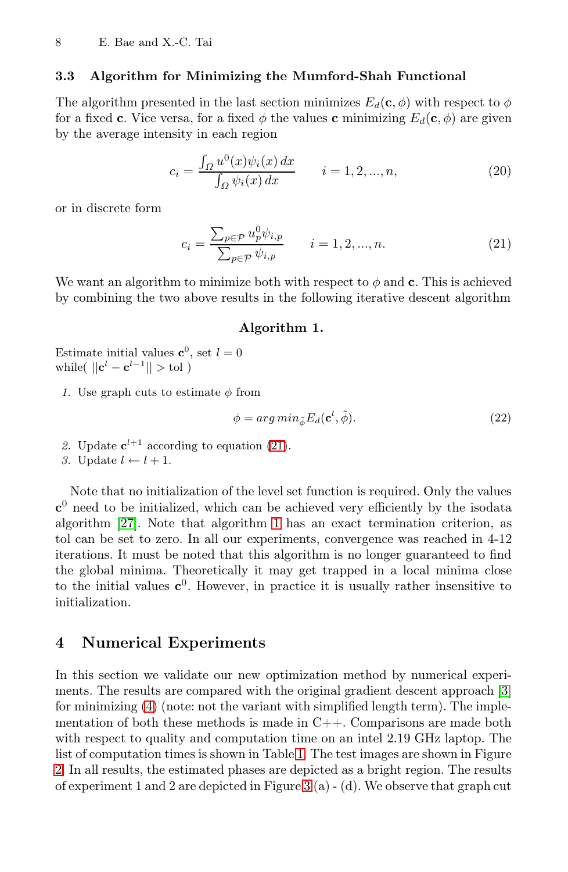### <span id="page-7-1"></span>3.3 Algorithm for Minimizing the Mumford-Shah Functional

The algorithm presented in the last section minimizes  $E_d(\mathbf{c}, \phi)$  with respect to  $\phi$ for a fixed c. Vice versa, for a fixed  $\phi$  the values c minimizing  $E_d(c, \phi)$  are given by the average intensity in each region

$$
c_i = \frac{\int_{\Omega} u^0(x)\psi_i(x) dx}{\int_{\Omega} \psi_i(x) dx} \qquad i = 1, 2, ..., n,
$$
 (20)

or in discrete form

<span id="page-7-2"></span>
$$
c_{i} = \frac{\sum_{p \in \mathcal{P}} u_{p}^{0} \psi_{i,p}}{\sum_{p \in \mathcal{P}} \psi_{i,p}} \qquad i = 1, 2, ..., n.
$$
 (21)

We want an algorithm to minimize both with respect to  $\phi$  and c. This is achieved by combining the two above results in the following iterative descent algorithm

#### Algorithm 1.

- <span id="page-7-3"></span>Estimate initial values  $\mathbf{c}^0$ , set  $l = 0$ while(  $||\mathbf{c}^l - \mathbf{c}^{l-1}|| > \text{tol}$  )
	- *1.* Use graph cuts to estimate  $\phi$  from

$$
\phi = arg\ min_{\tilde{\phi}} E_d(\mathbf{c}^l, \tilde{\phi}).\tag{22}
$$

- 2. Update  $\mathbf{c}^{l+1}$  according to equation [\(21\)](#page-7-2).
- *3.* Update  $l \leftarrow l + 1$ .

Note that no initialization of the level set function is required. Only the values  $c<sup>0</sup>$  need to be initialized, which can be achieved very efficiently by the isodata algorithm [\[27\]](#page-12-12). Note that algorithm [1](#page-7-3) has an exact termination criterion, as tol can be set to zero. In all our experiments, convergence was reached in 4-12 iterations. It must be noted that this algorithm is no longer guaranteed to find the global minima. Theoretically it may get trapped in a local minima close to the initial values  $c^0$ . However, in practice it is usually rather insensitive to initialization.

### <span id="page-7-0"></span>4 Numerical Experiments

In this section we validate our new optimization method by numerical experiments. The results are compared with the original gradient descent approach [\[3\]](#page-11-2) for minimizing [\(4\)](#page-2-1) (note: not the variant with simplified length term). The implementation of both these methods is made in C++. Comparisons are made both with respect to quality and computation time on an intel 2.19 GHz laptop. The list of computation times is shown in Table [1.](#page-8-0) The test images are shown in Figure [2.](#page-8-1) In all results, the estimated phases are depicted as a bright region. The results of experiment 1 and 2 are depicted in Figure [3](#page-9-0) (a) - (d). We observe that graph cut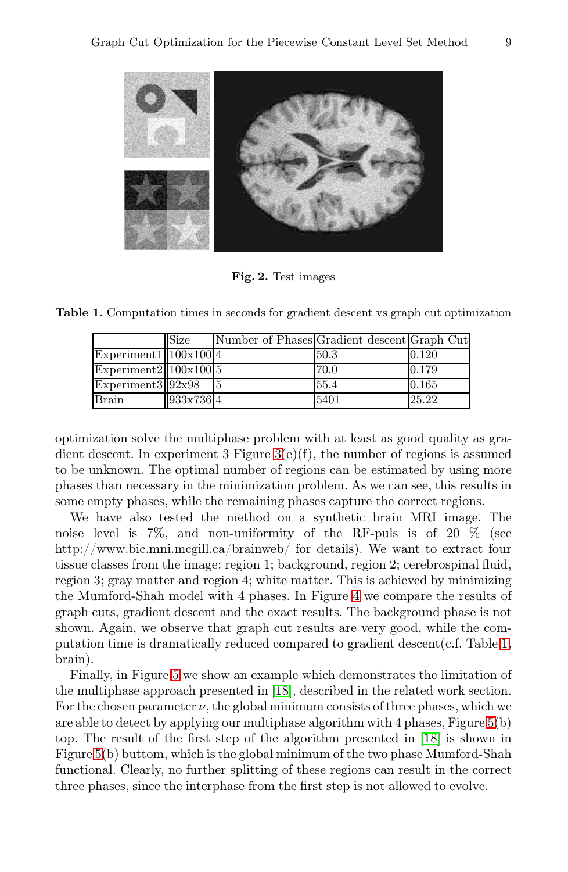

Fig. 2. Test images

<span id="page-8-0"></span>Table 1. Computation times in seconds for gradient descent vs graph cut optimization

<span id="page-8-1"></span>

|                        | Size      | Number of Phases Gradient descent Graph Cut |      |       |
|------------------------|-----------|---------------------------------------------|------|-------|
| Experiment1  100x100 4 |           |                                             | 50.3 | 0.120 |
| Experiment2 100x100 5  |           |                                             | 70.0 | 0.179 |
| $Experiments$ 92x98    |           |                                             | 55.4 | 0.165 |
| <b>Brain</b>           | 933x736 4 |                                             | 5401 | 25.22 |

optimization solve the multiphase problem with at least as good quality as gradient descent. In experiment 3 Figure [3\(](#page-9-0)e)(f), the number of regions is assumed to be unknown. The optimal number of regions can be estimated by using more phases than necessary in the minimization problem. As we can see, this results in some empty phases, while the remaining phases capture the correct regions.

We have also tested the method on a synthetic brain MRI image. The noise level is 7%, and non-uniformity of the RF-puls is of 20 % (see http://www.bic.mni.mcgill.ca/brainweb/ for details). We want to extract four tissue classes from the image: region 1; background, region 2; cerebrospinal fluid, region 3; gray matter and region 4; white matter. This is achieved by minimizing the Mumford-Shah model with 4 phases. In Figure [4](#page-10-0) we compare the results of graph cuts, gradient descent and the exact results. The background phase is not shown. Again, we observe that graph cut results are very good, while the computation time is dramatically reduced compared to gradient descent  $(c.f.$  Table [1,](#page-8-0) brain).

Finally, in Figure [5](#page-10-1) we show an example which demonstrates the limitation of the multiphase approach presented in [\[18\]](#page-12-3), described in the related work section. For the chosen parameter  $\nu$ , the global minimum consists of three phases, which we are able to detect by applying our multiphase algorithm with 4 phases, Figure [5\(](#page-10-1)b) top. The result of the first step of the algorithm presented in [\[18\]](#page-12-3) is shown in Figure [5\(](#page-10-1)b) buttom, which is the global minimum of the two phase Mumford-Shah functional. Clearly, no further splitting of these regions can result in the correct three phases, since the interphase from the first step is not allowed to evolve.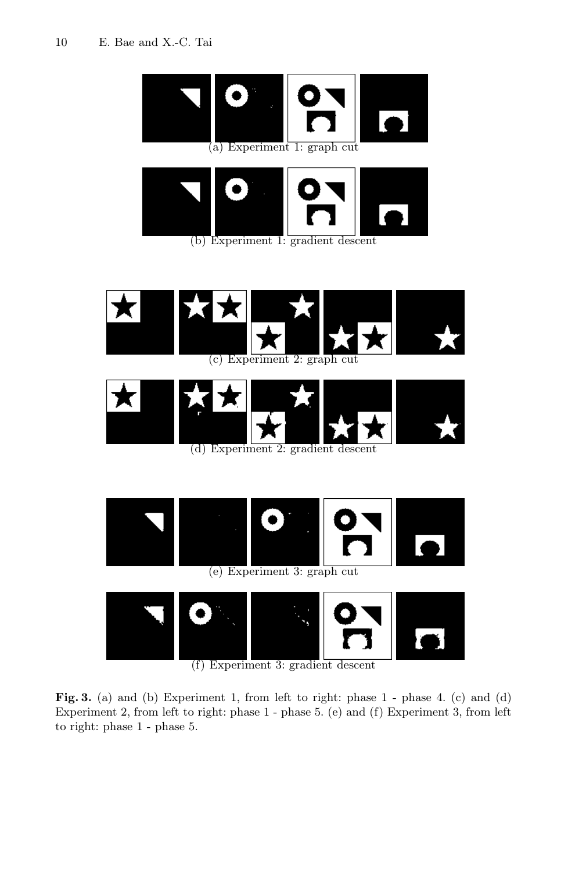<span id="page-9-0"></span>

(f) Experiment 3: gradient descent

Fig. 3. (a) and (b) Experiment 1, from left to right: phase 1 - phase 4. (c) and (d) Experiment 2, from left to right: phase 1 - phase 5. (e) and (f) Experiment 3, from left to right: phase 1 - phase 5.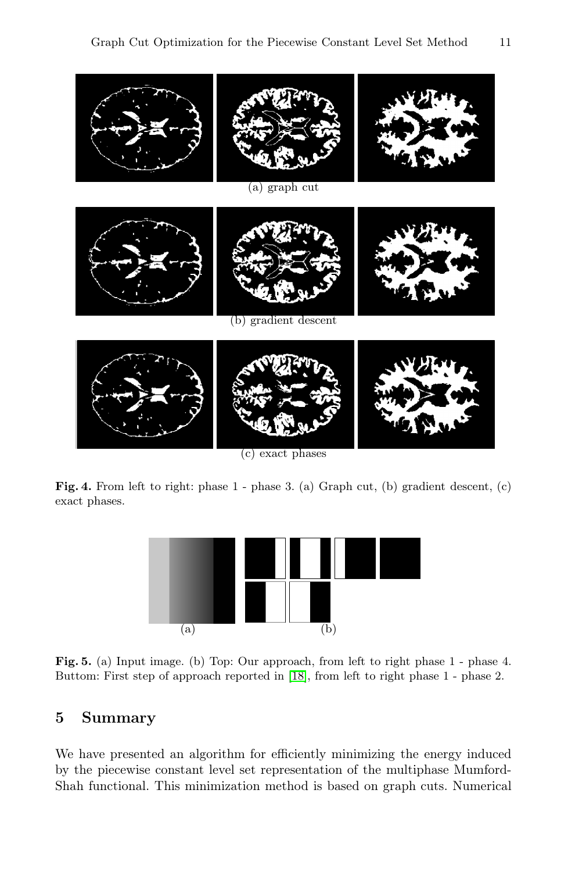

<span id="page-10-1"></span><span id="page-10-0"></span>(c) exact phases

Fig. 4. From left to right: phase 1 - phase 3. (a) Graph cut, (b) gradient descent, (c) exact phases.



Fig. 5. (a) Input image. (b) Top: Our approach, from left to right phase 1 - phase 4. Buttom: First step of approach reported in [\[18\]](#page-12-3), from left to right phase 1 - phase 2.

# 5 Summary

We have presented an algorithm for efficiently minimizing the energy induced by the piecewise constant level set representation of the multiphase Mumford-Shah functional. This minimization method is based on graph cuts. Numerical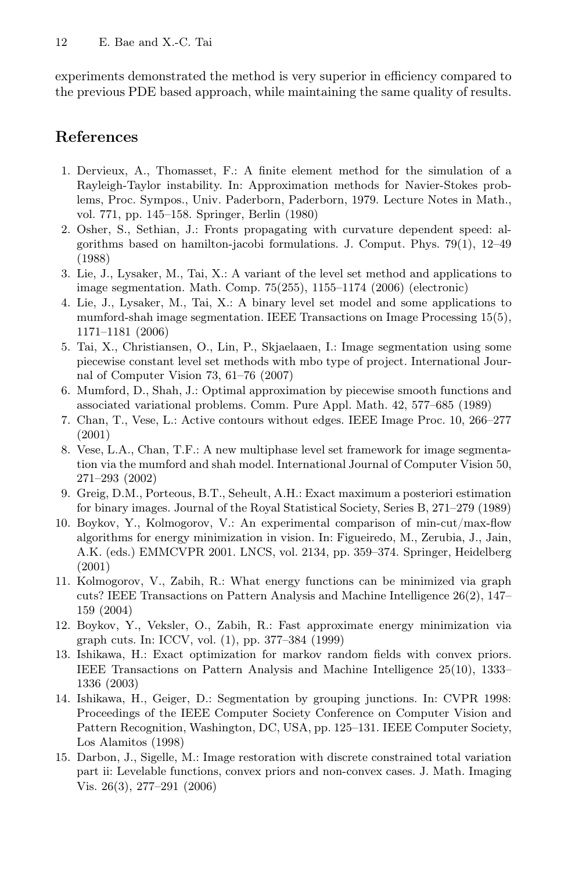experiments demonstrated the method is very superior in efficiency compared to the previous PDE based approach, while maintaining the same quality of results.

# References

- <span id="page-11-0"></span>1. Dervieux, A., Thomasset, F.: A finite element method for the simulation of a Rayleigh-Taylor instability. In: Approximation methods for Navier-Stokes problems, Proc. Sympos., Univ. Paderborn, Paderborn, 1979. Lecture Notes in Math., vol. 771, pp. 145–158. Springer, Berlin (1980)
- <span id="page-11-1"></span>2. Osher, S., Sethian, J.: Fronts propagating with curvature dependent speed: algorithms based on hamilton-jacobi formulations. J. Comput. Phys. 79(1), 12–49 (1988)
- <span id="page-11-2"></span>3. Lie, J., Lysaker, M., Tai, X.: A variant of the level set method and applications to image segmentation. Math. Comp. 75(255), 1155–1174 (2006) (electronic)
- <span id="page-11-3"></span>4. Lie, J., Lysaker, M., Tai, X.: A binary level set model and some applications to mumford-shah image segmentation. IEEE Transactions on Image Processing 15(5), 1171–1181 (2006)
- <span id="page-11-4"></span>5. Tai, X., Christiansen, O., Lin, P., Skjaelaaen, I.: Image segmentation using some piecewise constant level set methods with mbo type of project. International Journal of Computer Vision 73, 61–76 (2007)
- <span id="page-11-5"></span>6. Mumford, D., Shah, J.: Optimal approximation by piecewise smooth functions and associated variational problems. Comm. Pure Appl. Math. 42, 577–685 (1989)
- <span id="page-11-6"></span>7. Chan, T., Vese, L.: Active contours without edges. IEEE Image Proc. 10, 266–277 (2001)
- <span id="page-11-7"></span>8. Vese, L.A., Chan, T.F.: A new multiphase level set framework for image segmentation via the mumford and shah model. International Journal of Computer Vision 50, 271–293 (2002)
- <span id="page-11-8"></span>9. Greig, D.M., Porteous, B.T., Seheult, A.H.: Exact maximum a posteriori estimation for binary images. Journal of the Royal Statistical Society, Series B, 271–279 (1989)
- <span id="page-11-9"></span>10. Boykov, Y., Kolmogorov, V.: An experimental comparison of min-cut/max-flow algorithms for energy minimization in vision. In: Figueiredo, M., Zerubia, J., Jain, A.K. (eds.) EMMCVPR 2001. LNCS, vol. 2134, pp. 359–374. Springer, Heidelberg (2001)
- <span id="page-11-10"></span>11. Kolmogorov, V., Zabih, R.: What energy functions can be minimized via graph cuts? IEEE Transactions on Pattern Analysis and Machine Intelligence 26(2), 147– 159 (2004)
- <span id="page-11-11"></span>12. Boykov, Y., Veksler, O., Zabih, R.: Fast approximate energy minimization via graph cuts. In: ICCV, vol. (1), pp. 377–384 (1999)
- <span id="page-11-12"></span>13. Ishikawa, H.: Exact optimization for markov random fields with convex priors. IEEE Transactions on Pattern Analysis and Machine Intelligence 25(10), 1333– 1336 (2003)
- <span id="page-11-13"></span>14. Ishikawa, H., Geiger, D.: Segmentation by grouping junctions. In: CVPR 1998: Proceedings of the IEEE Computer Society Conference on Computer Vision and Pattern Recognition, Washington, DC, USA, pp. 125–131. IEEE Computer Society, Los Alamitos (1998)
- <span id="page-11-14"></span>15. Darbon, J., Sigelle, M.: Image restoration with discrete constrained total variation part ii: Levelable functions, convex priors and non-convex cases. J. Math. Imaging Vis. 26(3), 277–291 (2006)